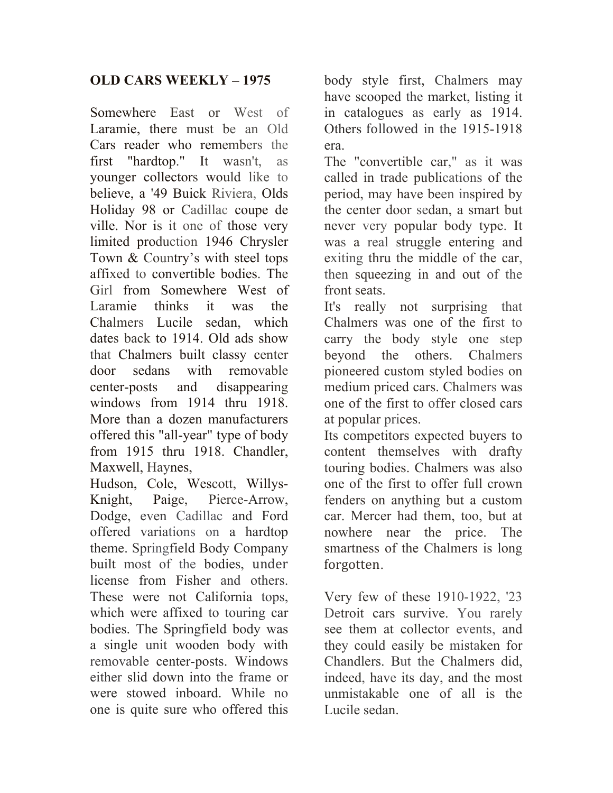## **OLD CARS WEEKLY – 1975**

Somewhere East or West of Laramie, there must be an Old Cars reader who remembers the first "hardtop." It wasn't, as younger collectors would like to believe, a '49 Buick Riviera, Olds Holiday 98 or Cadillac coupe de ville. Nor is it one of those very limited production 1946 Chrysler Town & Country's with steel tops affixed to convertible bodies. The Girl from Somewhere West of Laramie thinks it was the Chalmers Lucile sedan, which dates back to 1914. Old ads show that Chalmers built classy center door sedans with removable center-posts and disappearing windows from 1914 thru 1918. More than a dozen manufacturers offered this "all-year" type of body from 1915 thru 1918. Chandler, Maxwell, Haynes,

Hudson, Cole, Wescott, Willys-Knight, Paige, Pierce-Arrow, Dodge, even Cadillac and Ford offered variations on a hardtop theme. Springfield Body Company built most of the bodies, under license from Fisher and others. These were not California tops, which were affixed to touring car bodies. The Springfield body was a single unit wooden body with removable center-posts. Windows either slid down into the frame or were stowed inboard. While no one is quite sure who offered this

body style first, Chalmers may have scooped the market, listing it in catalogues as early as 1914. Others followed in the 1915-1918 era.

The "convertible car," as it was called in trade publications of the period, may have been inspired by the center door sedan, a smart but never very popular body type. It was a real struggle entering and exiting thru the middle of the car, then squeezing in and out of the front seats.

It's really not surprising that Chalmers was one of the first to carry the body style one step beyond the others. Chalmers pioneered custom styled bodies on medium priced cars. Chalmers was one of the first to offer closed cars at popular prices.

Its competitors expected buyers to content themselves with drafty touring bodies. Chalmers was also one of the first to offer full crown fenders on anything but a custom car. Mercer had them, too, but at nowhere near the price. The smartness of the Chalmers is long forgotten.

Very few of these 1910-1922, '23 Detroit cars survive. You rarely see them at collector events, and they could easily be mistaken for Chandlers. But the Chalmers did, indeed, have its day, and the most unmistakable one of all is the Lucile sedan.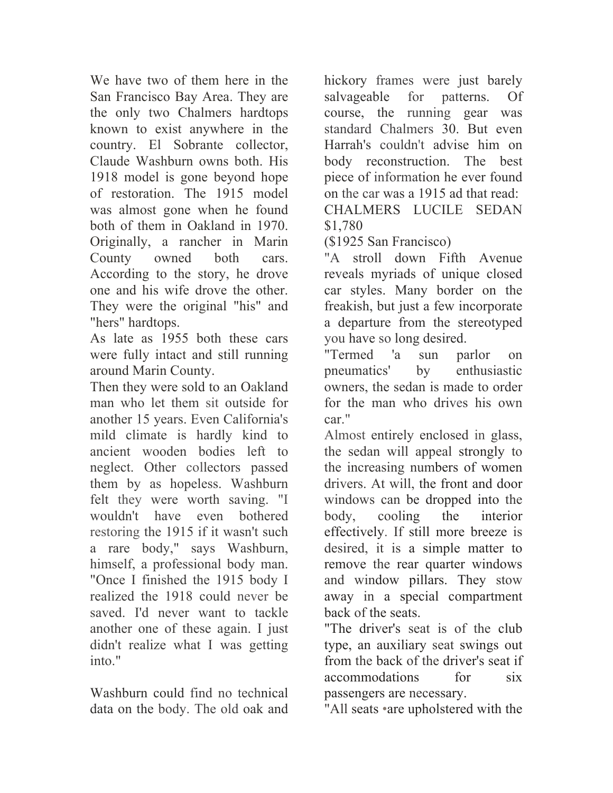We have two of them here in the San Francisco Bay Area. They are the only two Chalmers hardtops known to exist anywhere in the country. El Sobrante collector, Claude Washburn owns both. His 1918 model is gone beyond hope of restoration. The 1915 model was almost gone when he found both of them in Oakland in 1970. Originally, a rancher in Marin County owned both cars. According to the story, he drove one and his wife drove the other. They were the original "his" and "hers" hardtops.

As late as 1955 both these cars were fully intact and still running around Marin County.

Then they were sold to an Oakland man who let them sit outside for another 15 years. Even California's mild climate is hardly kind to ancient wooden bodies left to neglect. Other collectors passed them by as hopeless. Washburn felt they were worth saving. "I wouldn't have even bothered restoring the 1915 if it wasn't such a rare body," says Washburn, himself, a professional body man. "Once I finished the 1915 body I realized the 1918 could never be saved. I'd never want to tackle another one of these again. I just didn't realize what I was getting into."

Washburn could find no technical data on the body. The old oak and hickory frames were just barely salvageable for patterns. Of course, the running gear was standard Chalmers 30. But even Harrah's couldn't advise him on body reconstruction. The best piece of information he ever found on the car was a 1915 ad that read: CHALMERS LUCILE SEDAN \$1,780

(\$1925 San Francisco)

"A stroll down Fifth Avenue reveals myriads of unique closed car styles. Many border on the freakish, but just a few incorporate a departure from the stereotyped you have so long desired.

"Termed 'a sun parlor on pneumatics' by enthusiastic owners, the sedan is made to order for the man who drives his own car."

Almost entirely enclosed in glass, the sedan will appeal strongly to the increasing numbers of women drivers. At will, the front and door windows can be dropped into the body, cooling the interior effectively. If still more breeze is desired, it is a simple matter to remove the rear quarter windows and window pillars. They stow away in a special compartment back of the seats.

"The driver's seat is of the club type, an auxiliary seat swings out from the back of the driver's seat if accommodations for six passengers are necessary.

"All seats •are upholstered with the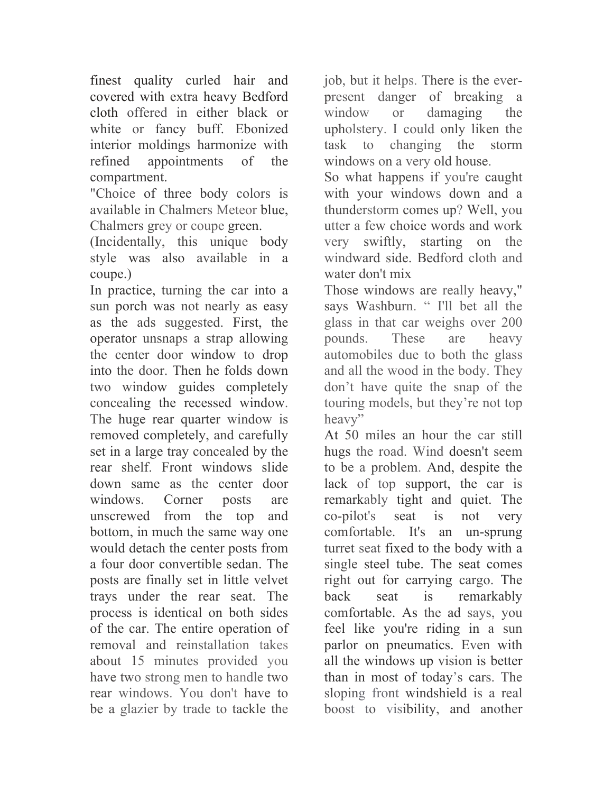finest quality curled hair and covered with extra heavy Bedford cloth offered in either black or white or fancy buff. Ebonized interior moldings harmonize with refined appointments of the compartment.

"Choice of three body colors is available in Chalmers Meteor blue, Chalmers grey or coupe green.

(Incidentally, this unique body style was also available in a coupe.)

In practice, turning the car into a sun porch was not nearly as easy as the ads suggested. First, the operator unsnaps a strap allowing the center door window to drop into the door. Then he folds down two window guides completely concealing the recessed window. The huge rear quarter window is removed completely, and carefully set in a large tray concealed by the rear shelf. Front windows slide down same as the center door windows. Corner posts are unscrewed from the top and bottom, in much the same way one would detach the center posts from a four door convertible sedan. The posts are finally set in little velvet trays under the rear seat. The process is identical on both sides of the car. The entire operation of removal and reinstallation takes about 15 minutes provided you have two strong men to handle two rear windows. You don't have to be a glazier by trade to tackle the

job, but it helps. There is the everpresent danger of breaking a window or damaging the upholstery. I could only liken the task to changing the storm windows on a very old house.

So what happens if you're caught with your windows down and a thunderstorm comes up? Well, you utter a few choice words and work very swiftly, starting on the windward side. Bedford cloth and water don't mix

Those windows are really heavy," says Washburn. " I'll bet all the glass in that car weighs over 200 pounds. These are heavy automobiles due to both the glass and all the wood in the body. They don't have quite the snap of the touring models, but they're not top heavy"

At 50 miles an hour the car still hugs the road. Wind doesn't seem to be a problem. And, despite the lack of top support, the car is remarkably tight and quiet. The co-pilot's seat is not very comfortable. It's an un-sprung turret seat fixed to the body with a single steel tube. The seat comes right out for carrying cargo. The back seat is remarkably comfortable. As the ad says, you feel like you're riding in a sun parlor on pneumatics. Even with all the windows up vision is better than in most of today's cars. The sloping front windshield is a real boost to visibility, and another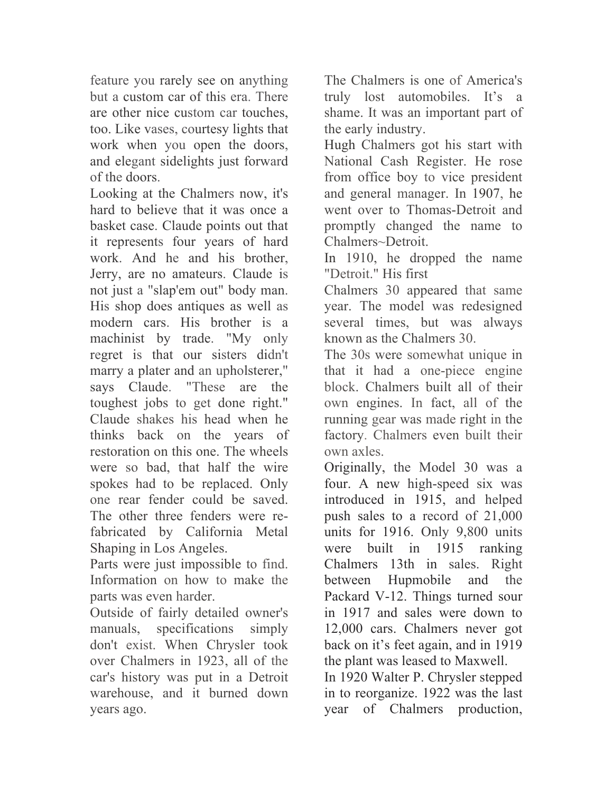feature you rarely see on anything but a custom car of this era. There are other nice custom car touches, too. Like vases, courtesy lights that work when you open the doors, and elegant sidelights just forward of the doors.

Looking at the Chalmers now, it's hard to believe that it was once a basket case. Claude points out that it represents four years of hard work. And he and his brother, Jerry, are no amateurs. Claude is not just a "slap'em out" body man. His shop does antiques as well as modern cars. His brother is a machinist by trade. "My only regret is that our sisters didn't marry a plater and an upholsterer," says Claude. "These are the toughest jobs to get done right." Claude shakes his head when he thinks back on the years of restoration on this one. The wheels were so bad, that half the wire spokes had to be replaced. Only one rear fender could be saved. The other three fenders were refabricated by California Metal Shaping in Los Angeles.

Parts were just impossible to find. Information on how to make the parts was even harder.

Outside of fairly detailed owner's manuals, specifications simply don't exist. When Chrysler took over Chalmers in 1923, all of the car's history was put in a Detroit warehouse, and it burned down years ago.

The Chalmers is one of America's truly lost automobiles. It's a shame. It was an important part of the early industry.

Hugh Chalmers got his start with National Cash Register. He rose from office boy to vice president and general manager. In 1907, he went over to Thomas-Detroit and promptly changed the name to Chalmers~Detroit.

In 1910, he dropped the name "Detroit." His first

Chalmers 30 appeared that same year. The model was redesigned several times, but was always known as the Chalmers 30.

The 30s were somewhat unique in that it had a one-piece engine block. Chalmers built all of their own engines. In fact, all of the running gear was made right in the factory. Chalmers even built their own axles.

Originally, the Model 30 was a four. A new high-speed six was introduced in 1915, and helped push sales to a record of 21,000 units for 1916. Only 9,800 units were built in 1915 ranking Chalmers 13th in sales. Right between Hupmobile and the Packard V-12. Things turned sour in 1917 and sales were down to 12,000 cars. Chalmers never got back on it's feet again, and in 1919 the plant was leased to Maxwell.

In 1920 Walter P. Chrysler stepped in to reorganize. 1922 was the last year of Chalmers production,